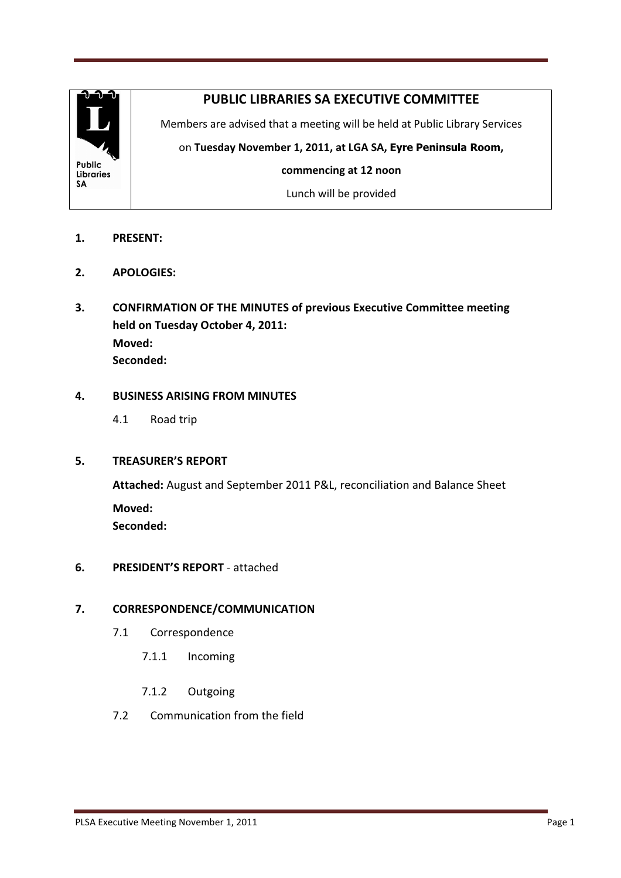

## PUBLIC LIBRARIES SA EXECUTIVE COMMITTEE

Members are advised that a meeting will be held at Public Library Services

on Tuesday November 1, 2011, at LGA SA, Eyre Peninsula Room,

commencing at 12 noon

Lunch will be provided

- 1. PRESENT:
- 2. APOLOGIES:
- 3. CONFIRMATION OF THE MINUTES of previous Executive Committee meeting held on Tuesday October 4, 2011: Moved: Seconded:

## 4. BUSINESS ARISING FROM MINUTES

4.1 Road trip

## 5. TREASURER'S REPORT

 Attached: August and September 2011 P&L, reconciliation and Balance Sheet Moved: Seconded:

## 6. PRESIDENT'S REPORT - attached

## 7. CORRESPONDENCE/COMMUNICATION

- 7.1 Correspondence
	- 7.1.1 Incoming
	- 7.1.2 Outgoing
- 7.2 Communication from the field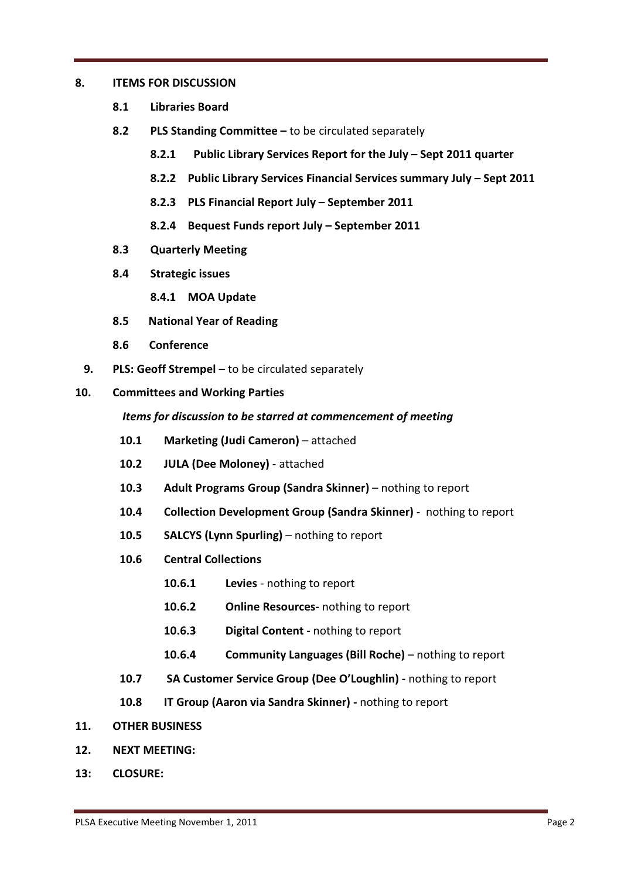#### 8. ITEMS FOR DISCUSSION

- 8.1 Libraries Board
- 8.2 PLS Standing Committee to be circulated separately
	- 8.2.1 Public Library Services Report for the July Sept 2011 quarter
	- 8.2.2 Public Library Services Financial Services summary July Sept 2011
	- 8.2.3 PLS Financial Report July September 2011
	- 8.2.4 Bequest Funds report July September 2011
- 8.3 Quarterly Meeting
- 8.4 Strategic issues
	- 8.4.1 MOA Update
- 8.5 National Year of Reading
- 8.6 Conference
- 9. PLS: Geoff Strempel to be circulated separately
- 10. Committees and Working Parties

#### Items for discussion to be starred at commencement of meeting

- 10.1 Marketing (Judi Cameron) attached
- 10.2 JULA (Dee Moloney) attached
- 10.3 Adult Programs Group (Sandra Skinner) nothing to report
- 10.4 Collection Development Group (Sandra Skinner) nothing to report
- 10.5 SALCYS (Lynn Spurling) nothing to report
- 10.6 Central Collections
	- 10.6.1 Levies nothing to report
	- 10.6.2 Online Resources- nothing to report
	- 10.6.3 Digital Content nothing to report
	- 10.6.4 Community Languages (Bill Roche) nothing to report
- 10.7 SA Customer Service Group (Dee O'Loughlin) nothing to report
- 10.8 IT Group (Aaron via Sandra Skinner) nothing to report
- 11. OTHER BUSINESS
- 12. NEXT MEETING:
- 13: CLOSURE: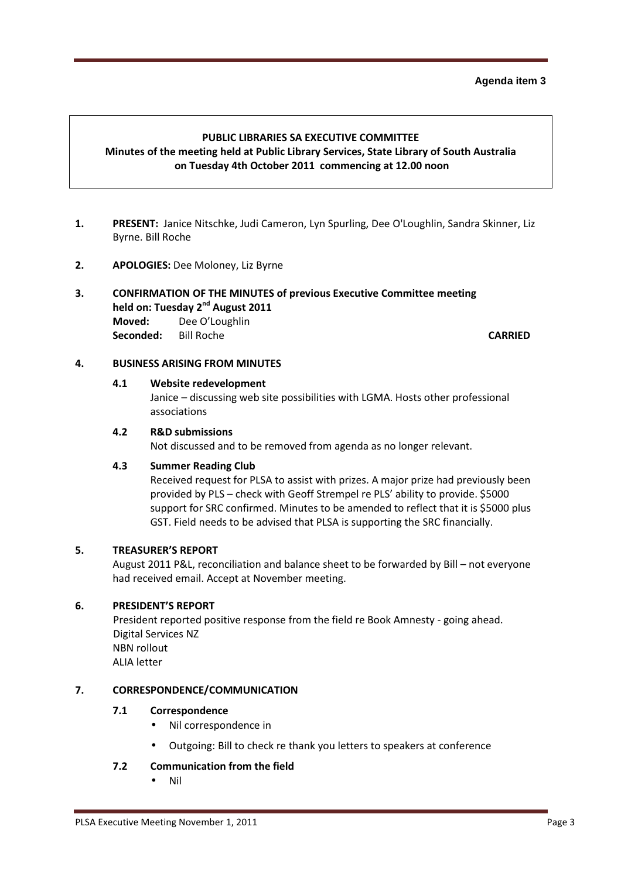#### **Agenda item 3**

### PUBLIC LIBRARIES SA EXECUTIVE COMMITTEE Minutes of the meeting held at Public Library Services, State Library of South Australia on Tuesday 4th October 2011 commencing at 12.00 noon

- 1. PRESENT: Janice Nitschke, Judi Cameron, Lyn Spurling, Dee O'Loughlin, Sandra Skinner, Liz Byrne. Bill Roche
- 2. APOLOGIES: Dee Moloney, Liz Byrne

## 3. CONFIRMATION OF THE MINUTES of previous Executive Committee meeting held on: Tuesday 2<sup>nd</sup> August 2011

 Moved: Dee O'Loughlin Seconded: Bill Roche CARRIED

## 4. BUSINESS ARISING FROM MINUTES

## 4.1 Website redevelopment

 Janice – discussing web site possibilities with LGMA. Hosts other professional associations

#### 4.2 R&D submissions

Not discussed and to be removed from agenda as no longer relevant.

#### 4.3 Summer Reading Club

 Received request for PLSA to assist with prizes. A major prize had previously been provided by PLS – check with Geoff Strempel re PLS' ability to provide. \$5000 support for SRC confirmed. Minutes to be amended to reflect that it is \$5000 plus GST. Field needs to be advised that PLSA is supporting the SRC financially.

#### 5. TREASURER'S REPORT

August 2011 P&L, reconciliation and balance sheet to be forwarded by Bill – not everyone had received email. Accept at November meeting.

#### 6. PRESIDENT'S REPORT

President reported positive response from the field re Book Amnesty - going ahead. Digital Services NZ NBN rollout ALIA letter

#### 7. CORRESPONDENCE/COMMUNICATION

## 7.1 Correspondence

- Nil correspondence in
- Outgoing: Bill to check re thank you letters to speakers at conference

#### 7.2 Communication from the field

• Nil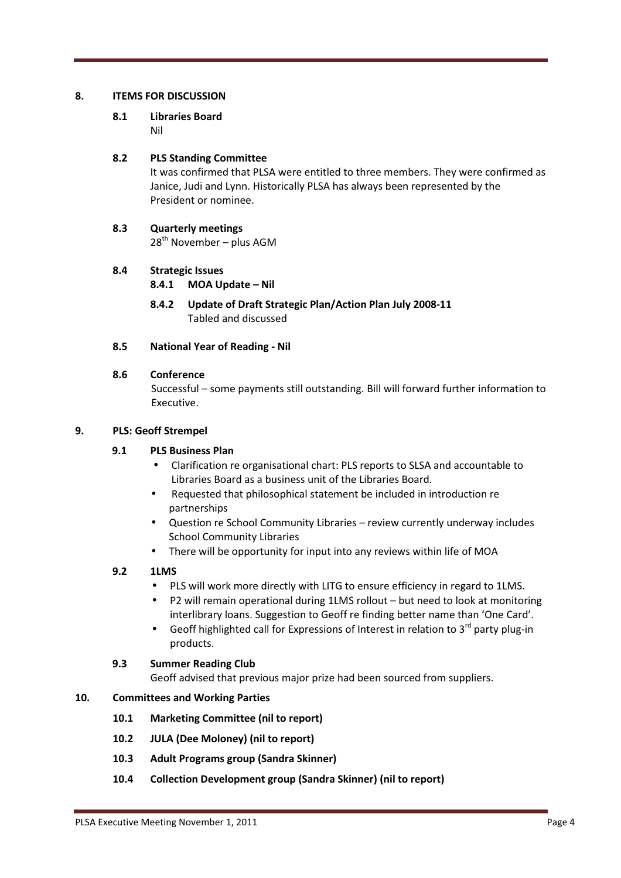#### 8. ITEMS FOR DISCUSSION

# 8.1 Libraries Board

Nil

## 8.2 PLS Standing Committee

It was confirmed that PLSA were entitled to three members. They were confirmed as Janice, Judi and Lynn. Historically PLSA has always been represented by the President or nominee.

## 8.3 Quarterly meetings

 $28^{th}$  November – plus AGM

## 8.4 Strategic Issues

- 8.4.1 MOA Update Nil
- 8.4.2 Update of Draft Strategic Plan/Action Plan July 2008-11 Tabled and discussed

## 8.5 National Year of Reading - Nil

#### 8.6 Conference

Successful – some payments still outstanding. Bill will forward further information to Executive.

#### 9. PLS: Geoff Strempel

## 9.1 PLS Business Plan

- Clarification re organisational chart: PLS reports to SLSA and accountable to Libraries Board as a business unit of the Libraries Board.
- Requested that philosophical statement be included in introduction re partnerships
- Question re School Community Libraries review currently underway includes School Community Libraries
- There will be opportunity for input into any reviews within life of MOA

## 9.2 1LMS

- PLS will work more directly with LITG to ensure efficiency in regard to 1LMS.
- P2 will remain operational during 1LMS rollout but need to look at monitoring interlibrary loans. Suggestion to Geoff re finding better name than 'One Card'.
- Geoff highlighted call for Expressions of Interest in relation to 3<sup>rd</sup> party plug-in products.

## 9.3 Summer Reading Club

Geoff advised that previous major prize had been sourced from suppliers.

## 10. Committees and Working Parties

- 10.1 Marketing Committee (nil to report)
- 10.2 JULA (Dee Moloney) (nil to report)
- 10.3 Adult Programs group (Sandra Skinner)
- 10.4 Collection Development group (Sandra Skinner) (nil to report)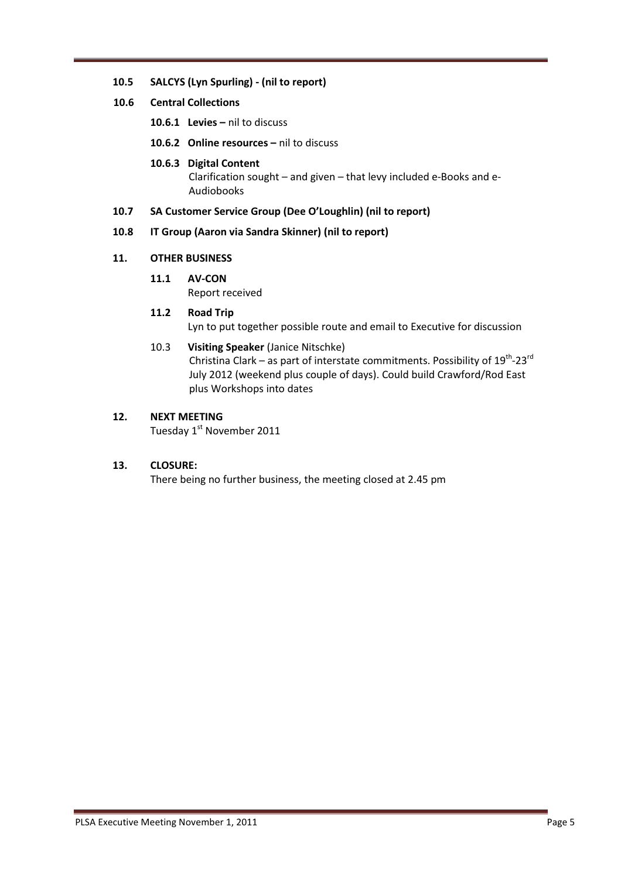#### 10.5 SALCYS (Lyn Spurling) - (nil to report)

#### 10.6 Central Collections

- 10.6.1 Levies nil to discuss
- 10.6.2 Online resources nil to discuss
- 10.6.3 Digital Content Clarification sought – and given – that levy included e-Books and e-Audiobooks

#### 10.7 SA Customer Service Group (Dee O'Loughlin) (nil to report)

#### 10.8 IT Group (Aaron via Sandra Skinner) (nil to report)

#### 11. OTHER BUSINESS

11.1 AV-CON

Report received

#### 11.2 Road Trip

Lyn to put together possible route and email to Executive for discussion

## 10.3 Visiting Speaker (Janice Nitschke)

Christina Clark – as part of interstate commitments. Possibility of  $19^{th}$ -23<sup>rd</sup> July 2012 (weekend plus couple of days). Could build Crawford/Rod East plus Workshops into dates

## 12. NEXT MEETING

Tuesday 1<sup>st</sup> November 2011

## 13. CLOSURE:

There being no further business, the meeting closed at 2.45 pm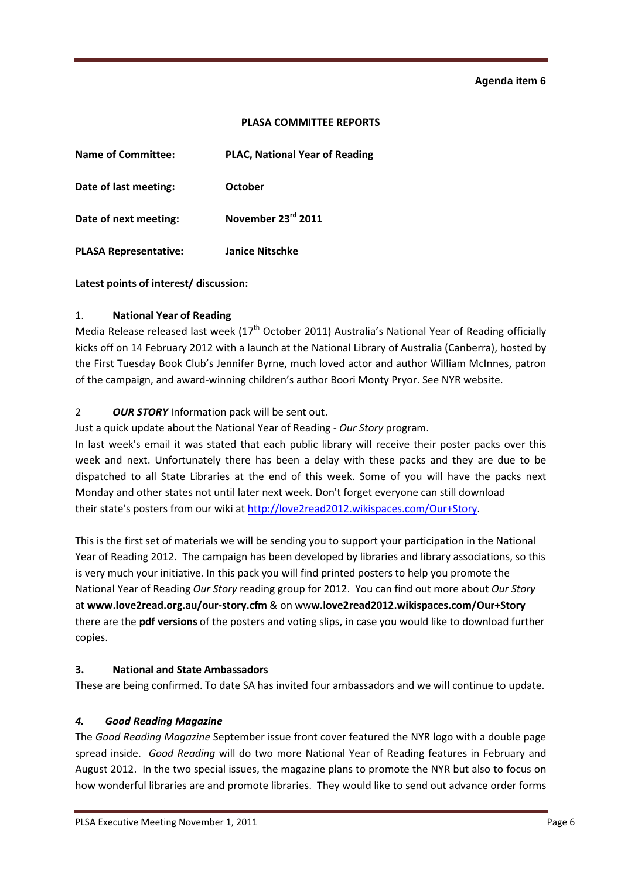#### **Agenda item 6**

#### PLASA COMMITTEE REPORTS

| <b>Name of Committee:</b>    | <b>PLAC, National Year of Reading</b> |
|------------------------------|---------------------------------------|
| Date of last meeting:        | October                               |
| Date of next meeting:        | November 23rd 2011                    |
| <b>PLASA Representative:</b> | <b>Janice Nitschke</b>                |

Latest points of interest/ discussion:

#### 1. National Year of Reading

Media Release released last week (17<sup>th</sup> October 2011) Australia's National Year of Reading officially kicks off on 14 February 2012 with a launch at the National Library of Australia (Canberra), hosted by the First Tuesday Book Club's Jennifer Byrne, much loved actor and author William McInnes, patron of the campaign, and award-winning children's author Boori Monty Pryor. See NYR website.

#### 2 OUR STORY Information pack will be sent out.

Just a quick update about the National Year of Reading - Our Story program.

In last week's email it was stated that each public library will receive their poster packs over this week and next. Unfortunately there has been a delay with these packs and they are due to be dispatched to all State Libraries at the end of this week. Some of you will have the packs next Monday and other states not until later next week. Don't forget everyone can still download their state's posters from our wiki at http://love2read2012.wikispaces.com/Our+Story.

This is the first set of materials we will be sending you to support your participation in the National Year of Reading 2012. The campaign has been developed by libraries and library associations, so this is very much your initiative. In this pack you will find printed posters to help you promote the National Year of Reading Our Story reading group for 2012. You can find out more about Our Story at www.love2read.org.au/our-story.cfm & on www.love2read2012.wikispaces.com/Our+Story there are the pdf versions of the posters and voting slips, in case you would like to download further copies.

#### 3. National and State Ambassadors

These are being confirmed. To date SA has invited four ambassadors and we will continue to update.

#### 4. Good Reading Magazine

The Good Reading Magazine September issue front cover featured the NYR logo with a double page spread inside. Good Reading will do two more National Year of Reading features in February and August 2012. In the two special issues, the magazine plans to promote the NYR but also to focus on how wonderful libraries are and promote libraries. They would like to send out advance order forms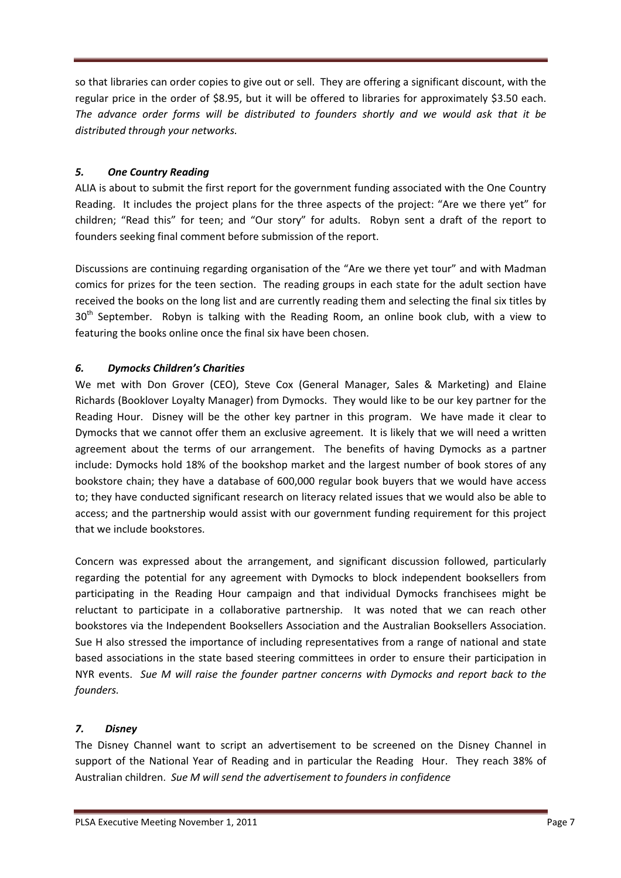so that libraries can order copies to give out or sell. They are offering a significant discount, with the regular price in the order of \$8.95, but it will be offered to libraries for approximately \$3.50 each. The advance order forms will be distributed to founders shortly and we would ask that it be distributed through your networks.

## 5. One Country Reading

ALIA is about to submit the first report for the government funding associated with the One Country Reading. It includes the project plans for the three aspects of the project: "Are we there yet" for children; "Read this" for teen; and "Our story" for adults. Robyn sent a draft of the report to founders seeking final comment before submission of the report.

Discussions are continuing regarding organisation of the "Are we there yet tour" and with Madman comics for prizes for the teen section. The reading groups in each state for the adult section have received the books on the long list and are currently reading them and selecting the final six titles by 30<sup>th</sup> September. Robyn is talking with the Reading Room, an online book club, with a view to featuring the books online once the final six have been chosen.

## 6. Dymocks Children's Charities

We met with Don Grover (CEO), Steve Cox (General Manager, Sales & Marketing) and Elaine Richards (Booklover Loyalty Manager) from Dymocks. They would like to be our key partner for the Reading Hour. Disney will be the other key partner in this program. We have made it clear to Dymocks that we cannot offer them an exclusive agreement. It is likely that we will need a written agreement about the terms of our arrangement. The benefits of having Dymocks as a partner include: Dymocks hold 18% of the bookshop market and the largest number of book stores of any bookstore chain; they have a database of 600,000 regular book buyers that we would have access to; they have conducted significant research on literacy related issues that we would also be able to access; and the partnership would assist with our government funding requirement for this project that we include bookstores.

Concern was expressed about the arrangement, and significant discussion followed, particularly regarding the potential for any agreement with Dymocks to block independent booksellers from participating in the Reading Hour campaign and that individual Dymocks franchisees might be reluctant to participate in a collaborative partnership. It was noted that we can reach other bookstores via the Independent Booksellers Association and the Australian Booksellers Association. Sue H also stressed the importance of including representatives from a range of national and state based associations in the state based steering committees in order to ensure their participation in NYR events. Sue M will raise the founder partner concerns with Dymocks and report back to the founders.

## 7. Disney

The Disney Channel want to script an advertisement to be screened on the Disney Channel in support of the National Year of Reading and in particular the Reading Hour. They reach 38% of Australian children. Sue M will send the advertisement to founders in confidence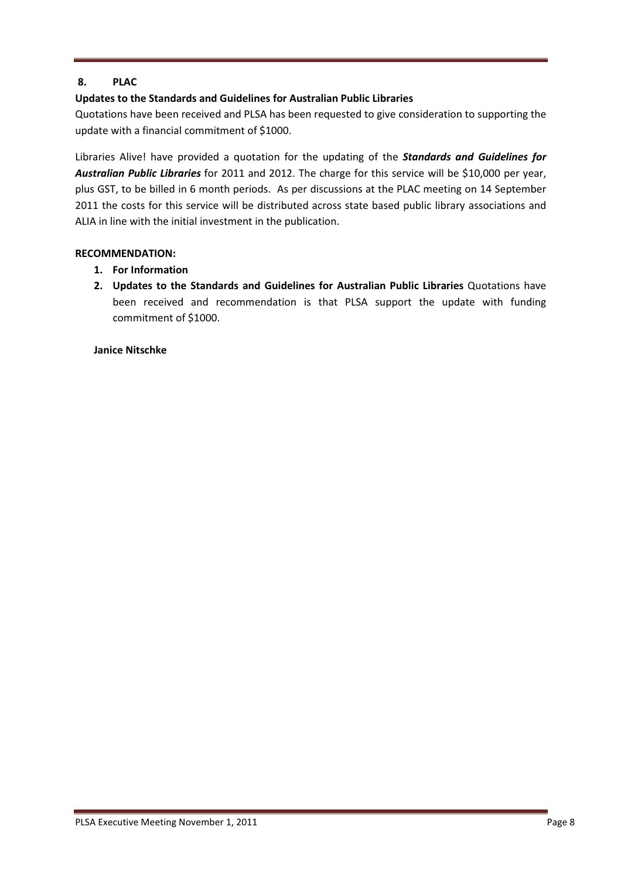## 8. PLAC

## Updates to the Standards and Guidelines for Australian Public Libraries

Quotations have been received and PLSA has been requested to give consideration to supporting the update with a financial commitment of \$1000.

Libraries Alive! have provided a quotation for the updating of the **Standards and Guidelines for** Australian Public Libraries for 2011 and 2012. The charge for this service will be \$10,000 per year, plus GST, to be billed in 6 month periods. As per discussions at the PLAC meeting on 14 September 2011 the costs for this service will be distributed across state based public library associations and ALIA in line with the initial investment in the publication.

#### RECOMMENDATION:

- 1. For Information
- 2. Updates to the Standards and Guidelines for Australian Public Libraries Quotations have been received and recommendation is that PLSA support the update with funding commitment of \$1000.

#### Janice Nitschke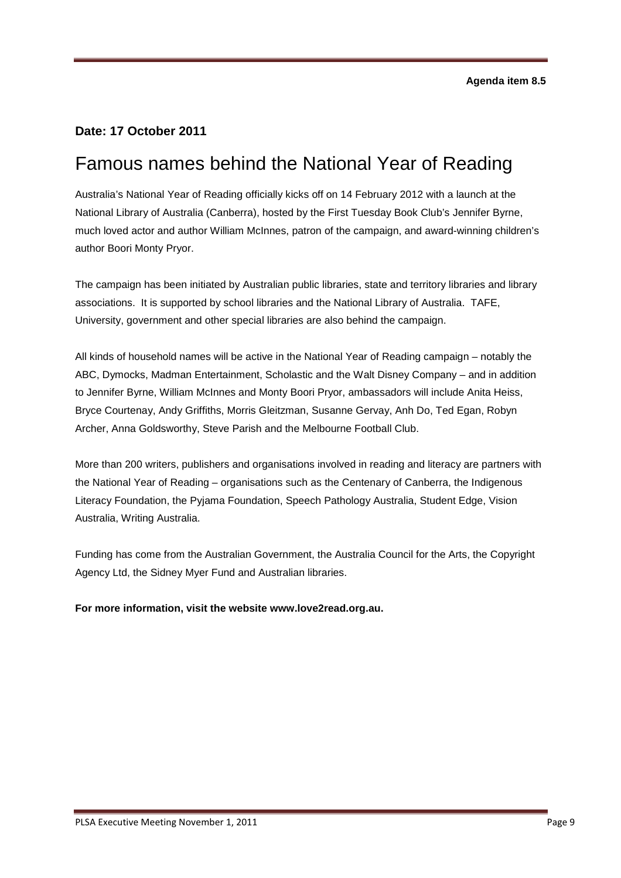## **Date: 17 October 2011**

# Famous names behind the National Year of Reading

Australia's National Year of Reading officially kicks off on 14 February 2012 with a launch at the National Library of Australia (Canberra), hosted by the First Tuesday Book Club's Jennifer Byrne, much loved actor and author William McInnes, patron of the campaign, and award-winning children's author Boori Monty Pryor.

The campaign has been initiated by Australian public libraries, state and territory libraries and library associations. It is supported by school libraries and the National Library of Australia. TAFE, University, government and other special libraries are also behind the campaign.

All kinds of household names will be active in the National Year of Reading campaign – notably the ABC, Dymocks, Madman Entertainment, Scholastic and the Walt Disney Company – and in addition to Jennifer Byrne, William McInnes and Monty Boori Pryor, ambassadors will include Anita Heiss, Bryce Courtenay, Andy Griffiths, Morris Gleitzman, Susanne Gervay, Anh Do, Ted Egan, Robyn Archer, Anna Goldsworthy, Steve Parish and the Melbourne Football Club.

More than 200 writers, publishers and organisations involved in reading and literacy are partners with the National Year of Reading – organisations such as the Centenary of Canberra, the Indigenous Literacy Foundation, the Pyjama Foundation, Speech Pathology Australia, Student Edge, Vision Australia, Writing Australia.

Funding has come from the Australian Government, the Australia Council for the Arts, the Copyright Agency Ltd, the Sidney Myer Fund and Australian libraries.

#### **For more information, visit the website www.love2read.org.au.**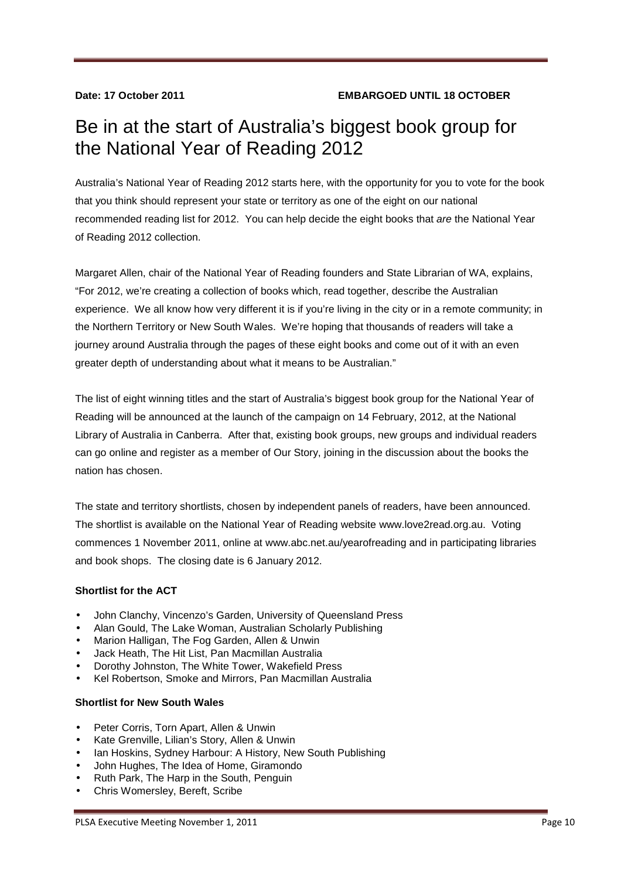# Be in at the start of Australia's biggest book group for the National Year of Reading 2012

Australia's National Year of Reading 2012 starts here, with the opportunity for you to vote for the book that you think should represent your state or territory as one of the eight on our national recommended reading list for 2012. You can help decide the eight books that are the National Year of Reading 2012 collection.

Margaret Allen, chair of the National Year of Reading founders and State Librarian of WA, explains, "For 2012, we're creating a collection of books which, read together, describe the Australian experience. We all know how very different it is if you're living in the city or in a remote community; in the Northern Territory or New South Wales. We're hoping that thousands of readers will take a journey around Australia through the pages of these eight books and come out of it with an even greater depth of understanding about what it means to be Australian."

The list of eight winning titles and the start of Australia's biggest book group for the National Year of Reading will be announced at the launch of the campaign on 14 February, 2012, at the National Library of Australia in Canberra. After that, existing book groups, new groups and individual readers can go online and register as a member of Our Story, joining in the discussion about the books the nation has chosen.

The state and territory shortlists, chosen by independent panels of readers, have been announced. The shortlist is available on the National Year of Reading website www.love2read.org.au. Voting commences 1 November 2011, online at www.abc.net.au/yearofreading and in participating libraries and book shops. The closing date is 6 January 2012.

## **Shortlist for the ACT**

- John Clanchy, Vincenzo's Garden, University of Queensland Press
- Alan Gould, The Lake Woman, Australian Scholarly Publishing
- Marion Halligan, The Fog Garden, Allen & Unwin
- Jack Heath, The Hit List, Pan Macmillan Australia
- Dorothy Johnston, The White Tower, Wakefield Press
- Kel Robertson, Smoke and Mirrors, Pan Macmillan Australia

#### **Shortlist for New South Wales**

- Peter Corris, Torn Apart, Allen & Unwin
- Kate Grenville, Lilian's Story, Allen & Unwin
- Ian Hoskins, Sydney Harbour: A History, New South Publishing
- John Hughes, The Idea of Home, Giramondo
- Ruth Park, The Harp in the South, Penguin
- Chris Womersley, Bereft, Scribe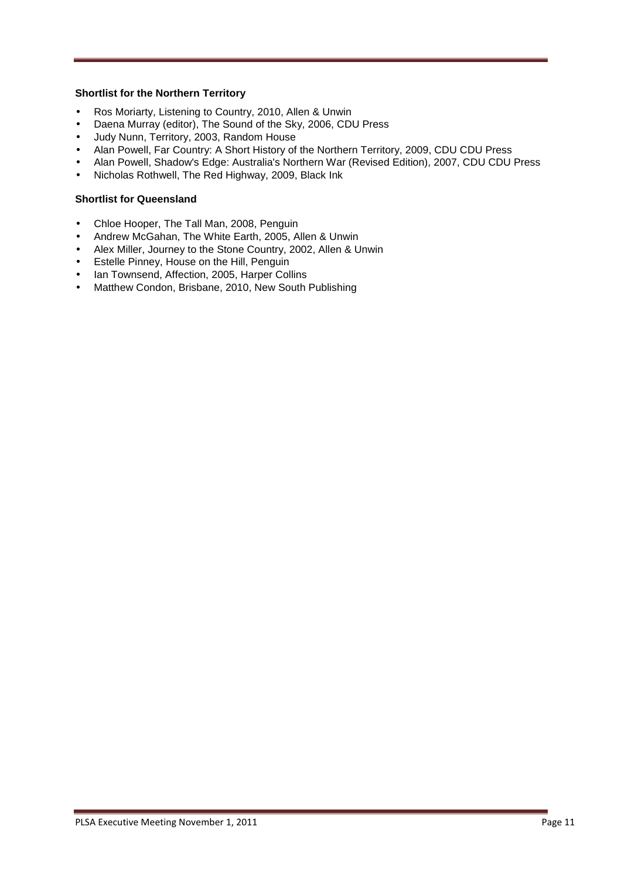#### **Shortlist for the Northern Territory**

- Ros Moriarty, Listening to Country, 2010, Allen & Unwin
- Daena Murray (editor), The Sound of the Sky, 2006, CDU Press
- Judy Nunn, Territory, 2003, Random House
- Alan Powell, Far Country: A Short History of the Northern Territory, 2009, CDU CDU Press
- Alan Powell, Shadow's Edge: Australia's Northern War (Revised Edition), 2007, CDU CDU Press
- Nicholas Rothwell, The Red Highway, 2009, Black Ink

#### **Shortlist for Queensland**

- Chloe Hooper, The Tall Man, 2008, Penguin
- Andrew McGahan, The White Earth, 2005, Allen & Unwin
- Alex Miller, Journey to the Stone Country, 2002, Allen & Unwin
- Estelle Pinney, House on the Hill, Penguin
- Ian Townsend, Affection, 2005, Harper Collins
- Matthew Condon, Brisbane, 2010, New South Publishing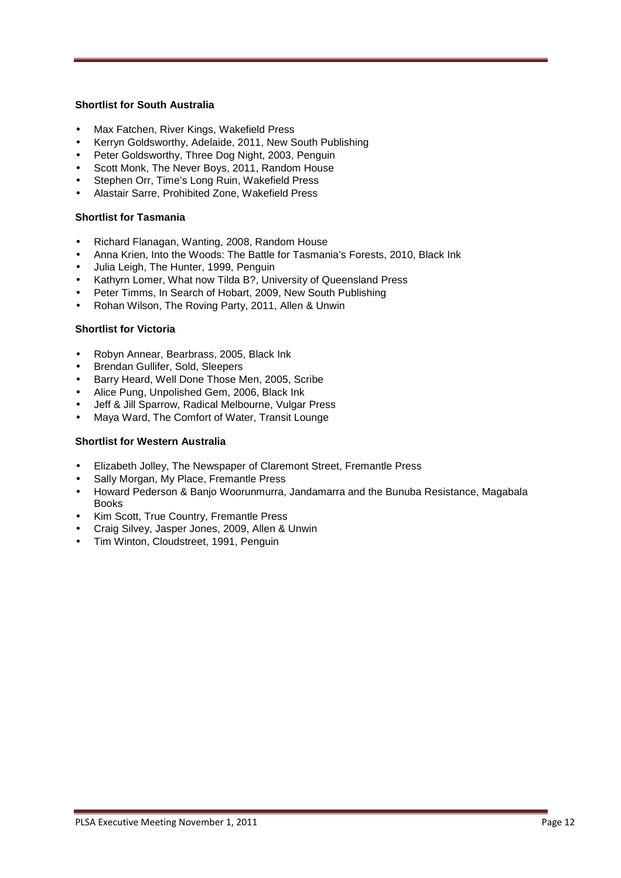#### **Shortlist for South Australia**

- Max Fatchen, River Kings, Wakefield Press
- Kerryn Goldsworthy, Adelaide, 2011, New South Publishing
- Peter Goldsworthy, Three Dog Night, 2003, Penguin
- Scott Monk, The Never Boys, 2011, Random House
- Stephen Orr, Time's Long Ruin, Wakefield Press
- Alastair Sarre, Prohibited Zone, Wakefield Press

#### **Shortlist for Tasmania**

- Richard Flanagan, Wanting, 2008, Random House
- Anna Krien, Into the Woods: The Battle for Tasmania's Forests, 2010, Black Ink
- Julia Leigh, The Hunter, 1999, Penguin
- Kathyrn Lomer, What now Tilda B?, University of Queensland Press
- Peter Timms, In Search of Hobart, 2009, New South Publishing
- Rohan Wilson, The Roving Party, 2011, Allen & Unwin

#### **Shortlist for Victoria**

- Robyn Annear, Bearbrass, 2005, Black Ink
- Brendan Gullifer, Sold, Sleepers
- Barry Heard, Well Done Those Men, 2005, Scribe
- Alice Pung, Unpolished Gem, 2006, Black Ink
- Jeff & Jill Sparrow, Radical Melbourne, Vulgar Press
- Maya Ward, The Comfort of Water, Transit Lounge

#### **Shortlist for Western Australia**

- Elizabeth Jolley, The Newspaper of Claremont Street, Fremantle Press
- Sally Morgan, My Place, Fremantle Press
- Howard Pederson & Banjo Woorunmurra, Jandamarra and the Bunuba Resistance, Magabala Books
- Kim Scott, True Country, Fremantle Press
- Craig Silvey, Jasper Jones, 2009, Allen & Unwin
- Tim Winton, Cloudstreet, 1991, Penguin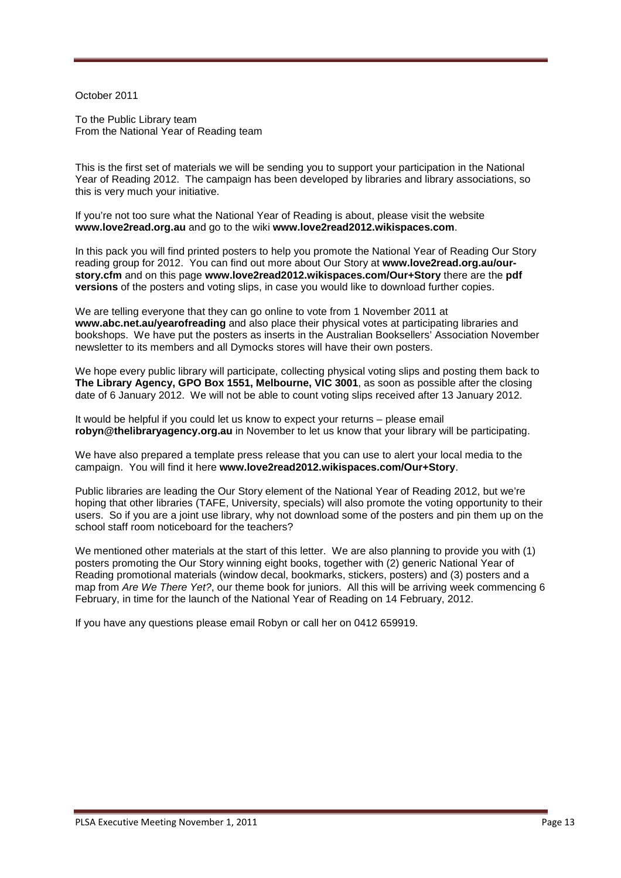October 2011

To the Public Library team From the National Year of Reading team

This is the first set of materials we will be sending you to support your participation in the National Year of Reading 2012. The campaign has been developed by libraries and library associations, so this is very much your initiative.

If you're not too sure what the National Year of Reading is about, please visit the website **www.love2read.org.au** and go to the wiki **www.love2read2012.wikispaces.com**.

In this pack you will find printed posters to help you promote the National Year of Reading Our Story reading group for 2012. You can find out more about Our Story at **www.love2read.org.au/ourstory.cfm** and on this page **www.love2read2012.wikispaces.com/Our+Story** there are the **pdf versions** of the posters and voting slips, in case you would like to download further copies.

We are telling everyone that they can go online to vote from 1 November 2011 at **www.abc.net.au/yearofreading** and also place their physical votes at participating libraries and bookshops. We have put the posters as inserts in the Australian Booksellers' Association November newsletter to its members and all Dymocks stores will have their own posters.

We hope every public library will participate, collecting physical voting slips and posting them back to **The Library Agency, GPO Box 1551, Melbourne, VIC 3001**, as soon as possible after the closing date of 6 January 2012. We will not be able to count voting slips received after 13 January 2012.

It would be helpful if you could let us know to expect your returns – please email **robyn@thelibraryagency.org.au** in November to let us know that your library will be participating.

We have also prepared a template press release that you can use to alert your local media to the campaign. You will find it here **www.love2read2012.wikispaces.com/Our+Story**.

Public libraries are leading the Our Story element of the National Year of Reading 2012, but we're hoping that other libraries (TAFE, University, specials) will also promote the voting opportunity to their users. So if you are a joint use library, why not download some of the posters and pin them up on the school staff room noticeboard for the teachers?

We mentioned other materials at the start of this letter. We are also planning to provide you with (1) posters promoting the Our Story winning eight books, together with (2) generic National Year of Reading promotional materials (window decal, bookmarks, stickers, posters) and (3) posters and a map from Are We There Yet?, our theme book for juniors. All this will be arriving week commencing 6 February, in time for the launch of the National Year of Reading on 14 February, 2012.

If you have any questions please email Robyn or call her on 0412 659919.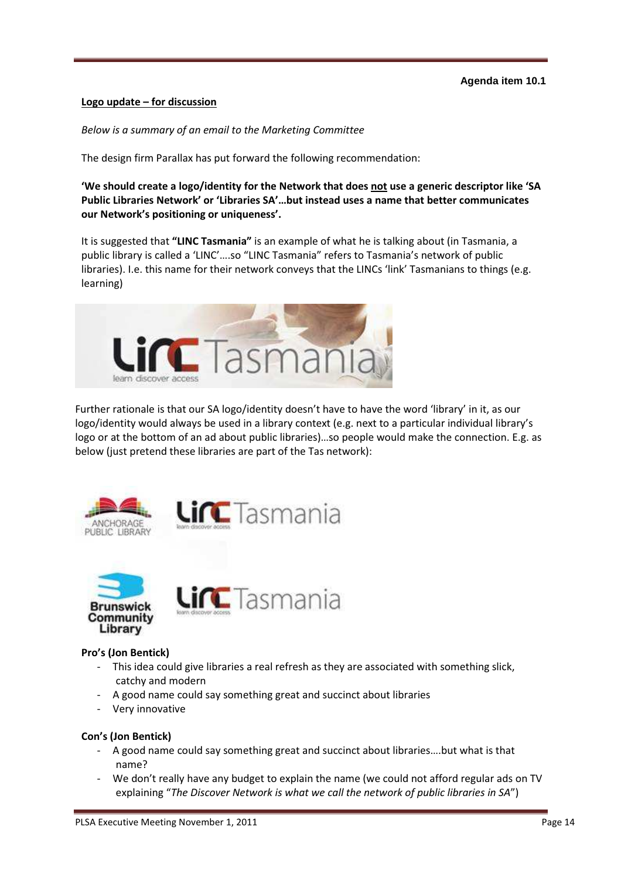#### **Agenda item 10.1**

#### Logo update – for discussion

Below is a summary of an email to the Marketing Committee

The design firm Parallax has put forward the following recommendation:

'We should create a logo/identity for the Network that does not use a generic descriptor like 'SA Public Libraries Network' or 'Libraries SA'…but instead uses a name that better communicates our Network's positioning or uniqueness'.

It is suggested that "LINC Tasmania" is an example of what he is talking about (in Tasmania, a public library is called a 'LINC'….so "LINC Tasmania" refers to Tasmania's network of public libraries). I.e. this name for their network conveys that the LINCs 'link' Tasmanians to things (e.g. learning)



Further rationale is that our SA logo/identity doesn't have to have the word 'library' in it, as our logo/identity would always be used in a library context (e.g. next to a particular individual library's logo or at the bottom of an ad about public libraries)…so people would make the connection. E.g. as below (just pretend these libraries are part of the Tas network):





## Pro's (Jon Bentick)

- This idea could give libraries a real refresh as they are associated with something slick, catchy and modern
- A good name could say something great and succinct about libraries

**Lin** Tasmania

Very innovative

#### Con's (Jon Bentick)

- A good name could say something great and succinct about libraries….but what is that name?
- We don't really have any budget to explain the name (we could not afford regular ads on TV explaining "The Discover Network is what we call the network of public libraries in SA")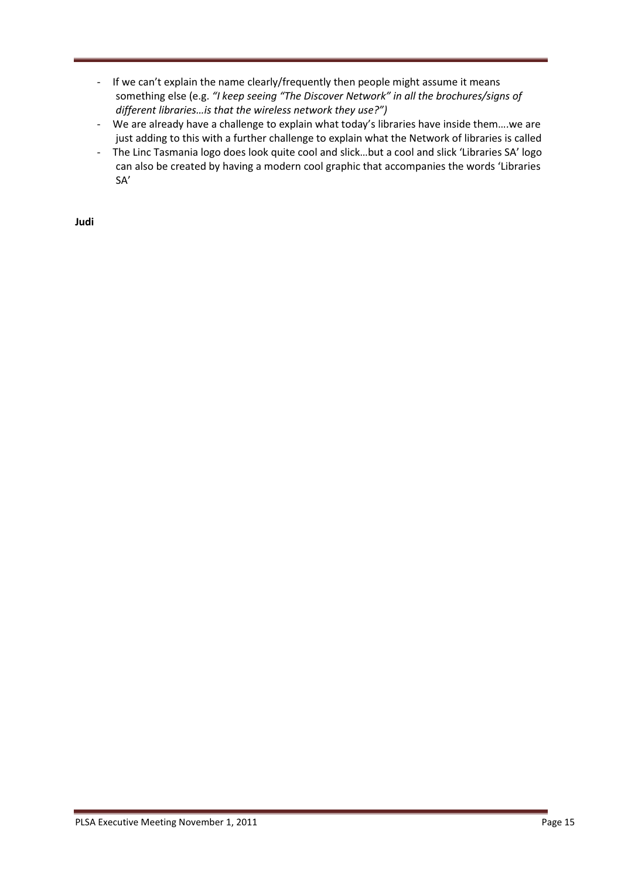- If we can't explain the name clearly/frequently then people might assume it means something else (e.g. "I keep seeing "The Discover Network" in all the brochures/signs of different libraries…is that the wireless network they use?")
- We are already have a challenge to explain what today's libraries have inside them….we are just adding to this with a further challenge to explain what the Network of libraries is called
- The Linc Tasmania logo does look quite cool and slick…but a cool and slick 'Libraries SA' logo can also be created by having a modern cool graphic that accompanies the words 'Libraries SA'

Judi